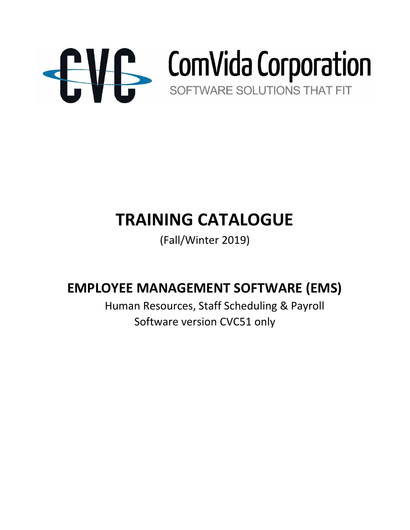

# **TRAINING CATALOGUE**

(Fall/Winter 2019)

# **EMPLOYEE MANAGEMENT SOFTWARE (EMS)**

 Human Resources, Staff Scheduling & Payroll Software version CVC51 only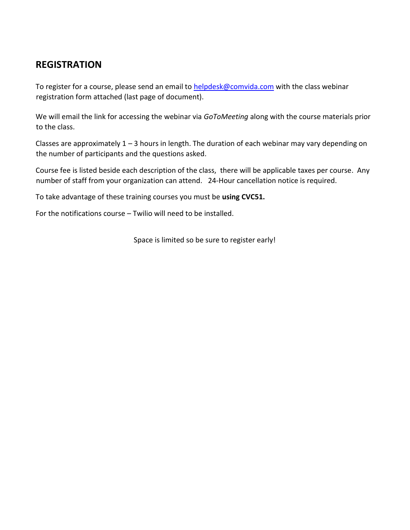# **REGISTRATION**

To register for a course, please send an email to helpdesk@comvida.com with the class webinar registration form attached (last page of document).

We will email the link for accessing the webinar via *GoToMeeting* along with the course materials prior to the class.

Classes are approximately  $1 - 3$  hours in length. The duration of each webinar may vary depending on the number of participants and the questions asked.

Course fee is listed beside each description of the class, there will be applicable taxes per course. Any number of staff from your organization can attend. 24-Hour cancellation notice is required.

To take advantage of these training courses you must be **using CVC51.**

For the notifications course – Twilio will need to be installed.

Space is limited so be sure to register early!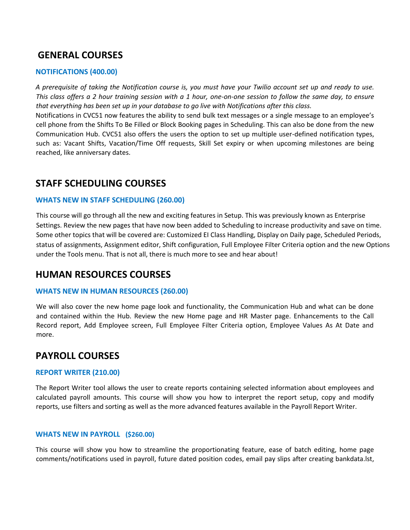## **GENERAL COURSES**

#### **NOTIFICATIONS (400.00)**

*A prerequisite of taking the Notification course is, you must have your Twilio account set up and ready to use. This class offers a 2 hour training session with a 1 hour, one-on-one session to follow the same day, to ensure that everything has been set up in your database to go live with Notifications after this class.*

Notifications in CVC51 now features the ability to send bulk text messages or a single message to an employee's cell phone from the Shifts To Be Filled or Block Booking pages in Scheduling. This can also be done from the new Communication Hub. CVC51 also offers the users the option to set up multiple user-defined notification types, such as: Vacant Shifts, Vacation/Time Off requests, Skill Set expiry or when upcoming milestones are being reached, like anniversary dates.

### **STAFF SCHEDULING COURSES**

#### **WHATS NEW IN STAFF SCHEDULING (260.00)**

This course will go through all the new and exciting features in Setup. This was previously known as Enterprise Settings. Review the new pages that have now been added to Scheduling to increase productivity and save on time. Some other topics that will be covered are: Customized EI Class Handling, Display on Daily page, Scheduled Periods, status of assignments, Assignment editor, Shift configuration, Full Employee Filter Criteria option and the new Options under the Tools menu. That is not all, there is much more to see and hear about!

### **HUMAN RESOURCES COURSES**

#### **WHATS NEW IN HUMAN RESOURCES (260.00)**

We will also cover the new home page look and functionality, the Communication Hub and what can be done and contained within the Hub. Review the new Home page and HR Master page. Enhancements to the Call Record report, Add Employee screen, Full Employee Filter Criteria option, Employee Values As At Date and more.

# **PAYROLL COURSES**

#### **REPORT WRITER (210.00)**

The Report Writer tool allows the user to create reports containing selected information about employees and calculated payroll amounts. This course will show you how to interpret the report setup, copy and modify reports, use filters and sorting as well as the more advanced features available in the Payroll Report Writer.

#### **WHATS NEW IN PAYROLL (\$260.00)**

This course will show you how to streamline the proportionating feature, ease of batch editing, home page comments/notifications used in payroll, future dated position codes, email pay slips after creating bankdata.lst,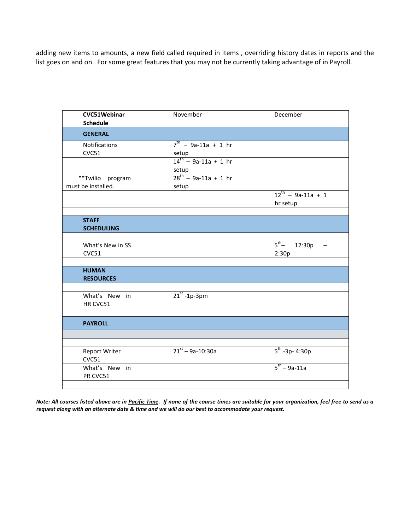adding new items to amounts, a new field called required in items , overriding history dates in reports and the list goes on and on. For some great features that you may not be currently taking advantage of in Payroll.

| CVC51Webinar<br><b>Schedule</b>        | November                                         | December                                               |
|----------------------------------------|--------------------------------------------------|--------------------------------------------------------|
| <b>GENERAL</b>                         |                                                  |                                                        |
| <b>Notifications</b><br>CVC51          | $7^{th}$ - 9a-11a + 1 hr<br>setup                |                                                        |
|                                        | $\frac{3e^{t}}{14^{t}}$ - 9a-11a + 1 hr<br>setup |                                                        |
| **Twilio program<br>must be installed. | $28^{th}$ - 9a-11a + 1 hr<br>setup               |                                                        |
|                                        |                                                  | $12^{th}$ - 9a-11a + 1<br>hr setup                     |
| <b>STAFF</b><br><b>SCHEDULING</b>      |                                                  |                                                        |
|                                        |                                                  |                                                        |
| What's New in SS<br>CVC51              |                                                  | $5^{th} - 12:30p$<br>$\overline{\phantom{a}}$<br>2:30p |
|                                        |                                                  |                                                        |
| <b>HUMAN</b><br><b>RESOURCES</b>       |                                                  |                                                        |
|                                        |                                                  |                                                        |
| What's New in<br>HR CVC51              | $21^{st}$ -1p-3pm                                |                                                        |
|                                        |                                                  |                                                        |
| <b>PAYROLL</b>                         |                                                  |                                                        |
|                                        |                                                  |                                                        |
|                                        | $21^{st} - 9a - 10:30a$                          |                                                        |
| <b>Report Writer</b><br>CVC51          |                                                  | $5^{th}$ -3p- 4:30p                                    |
| What's New in<br>PR CVC51              |                                                  | $5^{th} - 9a - 11a$                                    |
|                                        |                                                  |                                                        |

*Note: All courses listed above are in Pacific Time. If none of the course times are suitable for your organization, feel free to send us a request along with an alternate date & time and we will do our best to accommodate your request.*